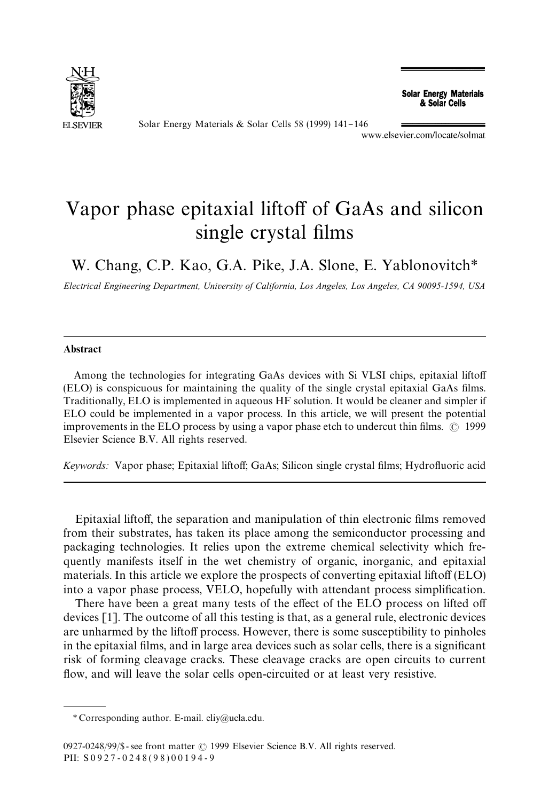

Solar Energy Materials & Solar Cells 58 (1999) 141-146

## Vapor phase epitaxial liftoff of GaAs and silicon single crystal films

W. Chang, C.P. Kao, G.A. Pike, J.A. Slone, E. Yablonovitch*\**

*Electrical Engineering Department, University of California, Los Angeles, Los Angeles, CA 90095-1594, USA*

## Abstract

Among the technologies for integrating GaAs devices with Si VLSI chips, epitaxial liftoff  $(ELO)$  is conspicuous for maintaining the quality of the single crystal epitaxial GaAs films. Traditionally, ELO is implemented in aqueous HF solution. It would be cleaner and simpler if ELO could be implemented in a vapor process. In this article, we will present the potential improvements in the ELO process by using a vapor phase etch to undercut thin films.  $\odot$  1999 Elsevier Science B.V. All rights reserved.

Keywords: Vapor phase; Epitaxial liftoff; GaAs; Silicon single crystal films; Hydrofluoric acid

Epitaxial liftoff, the separation and manipulation of thin electronic films removed from their substrates, has taken its place among the semiconductor processing and packaging technologies. It relies upon the extreme chemical selectivity which frequently manifests itself in the wet chemistry of organic, inorganic, and epitaxial materials. In this article we explore the prospects of converting epitaxial liftoff  $(ELO)$ into a vapor phase process, VELO, hopefully with attendant process simplification.

There have been a great many tests of the effect of the ELO process on lifted off devices [1]. The outcome of all this testing is that, as a general rule, electronic devices are unharmed by the liftoff process. However, there is some susceptibility to pinholes in the epitaxial films, and in large area devices such as solar cells, there is a significant risk of forming cleavage cracks. These cleavage cracks are open circuits to current flow, and will leave the solar cells open-circuited or at least very resistive.

*<sup>\*</sup>* Corresponding author. E-mail. eliy@ucla.edu.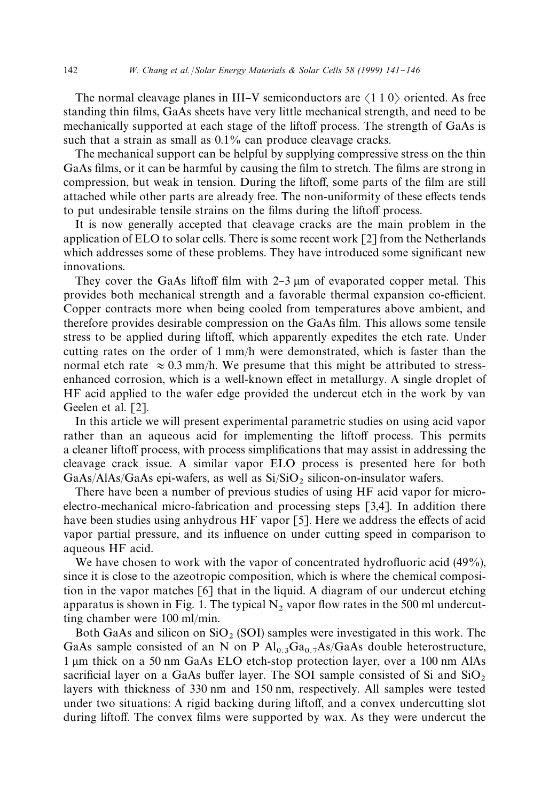The normal cleavage planes in III–V semiconductors are  $\langle 110 \rangle$  oriented. As free standing thin films, GaAs sheets have very little mechanical strength, and need to be mechanically supported at each stage of the liftoff process. The strength of GaAs is such that a strain as small as  $0.1\%$  can produce cleavage cracks.

The mechanical support can be helpful by supplying compressive stress on the thin GaAs films, or it can be harmful by causing the film to stretch. The films are strong in compression, but weak in tension. During the liftoff, some parts of the film are still attached while other parts are already free. The non-uniformity of these effects tends to put undesirable tensile strains on the films during the liftoff process.

It is now generally accepted that cleavage cracks are the main problem in the application of ELO to solar cells. There is some recent work [2] from the Netherlands which addresses some of these problems. They have introduced some significant new innovations.

They cover the GaAs liftoff film with  $2-3 \mu$  and of evaporated copper metal. This provides both mechanical strength and a favorable thermal expansion co-efficient. Copper contracts more when being cooled from temperatures above ambient, and therefore provides desirable compression on the GaAs film. This allows some tensile stress to be applied during liftoff, which apparently expedites the etch rate. Under cutting rates on the order of 1 mm/h were demonstrated, which is faster than the normal etch rate  $\approx 0.3$  mm/h. We presume that this might be attributed to stressenhanced corrosion, which is a well-known effect in metallurgy. A single droplet of HF acid applied to the wafer edge provided the undercut etch in the work by van Geelen et al. [2].

In this article we will present experimental parametric studies on using acid vapor rather than an aqueous acid for implementing the liftoff process. This permits a cleaner liftoff process, with process simplifications that may assist in addressing the cleavage crack issue. A similar vapor ELO process is presented here for both GaAs/AlAs/GaAs epi-wafers, as well as  $Si/SiO<sub>2</sub>$  silicon-on-insulator wafers.

There have been a number of previous studies of using HF acid vapor for microelectro-mechanical micro-fabrication and processing steps [3,4]. In addition there have been studies using anhydrous HF vapor  $[5]$ . Here we address the effects of acid vapor partial pressure, and its influence on under cutting speed in comparison to aqueous HF acid.

We have chosen to work with the vapor of concentrated hydrofluoric acid  $(49\%)$ , since it is close to the azeotropic composition, which is where the chemical composition in the vapor matches [6] that in the liquid. A diagram of our undercut etching apparatus is shown in Fig. 1. The typical  $N_2$  vapor flow rates in the 500 ml undercutting chamber were 100 ml/min.

Both GaAs and silicon on  $SiO<sub>2</sub>$  (SOI) samples were investigated in this work. The GaAs sample consisted of an N on P  $Al_{0.3}Ga_{0.7}As/GaAs$  double heterostructure, 1  $\mu$ m thick on a 50 nm GaAs ELO etch-stop protection layer, over a 100 nm AlAs sacrificial layer on a GaAs buffer layer. The SOI sample consisted of Si and  $SiO_2$ layers with thickness of 330 nm and 150 nm, respectively. All samples were tested under two situations: A rigid backing during liftoff, and a convex undercutting slot during liftoff. The convex films were supported by wax. As they were undercut the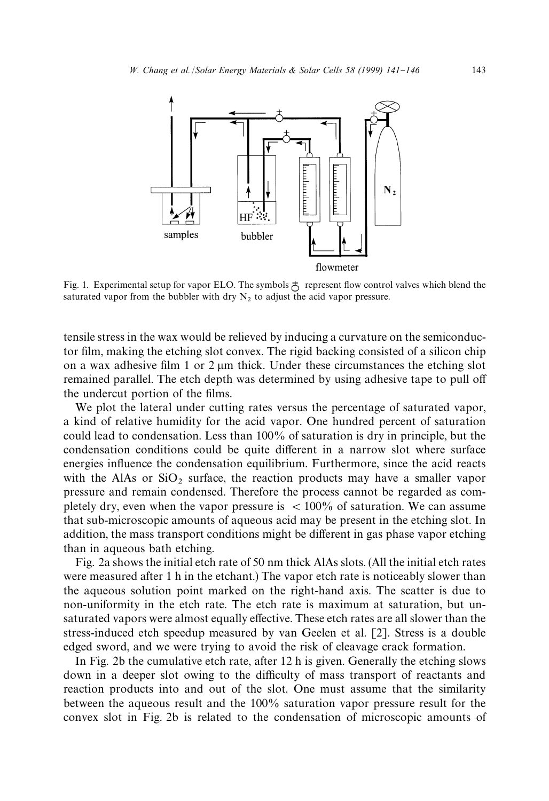

Fig. 1. Experimental setup for vapor ELO. The symbols  $\stackrel{+}{\circ}$  represent flow control valves which blend the saturated vapor from the bubbler with dry  $N<sub>2</sub>$  to adjust the acid vapor pressure.

tensile stress in the wax would be relieved by inducing a curvature on the semiconductor film, making the etching slot convex. The rigid backing consisted of a silicon chip on a wax adhesive film 1 or 2  $\mu$ m thick. Under these circumstances the etching slot remained parallel. The etch depth was determined by using adhesive tape to pull off the undercut portion of the films.

We plot the lateral under cutting rates versus the percentage of saturated vapor, a kind of relative humidity for the acid vapor. One hundred percent of saturation could lead to condensation. Less than 100% of saturation is dry in principle, but the condensation conditions could be quite different in a narrow slot where surface energies influence the condensation equilibrium. Furthermore, since the acid reacts with the AlAs or  $SiO<sub>2</sub>$  surface, the reaction products may have a smaller vapor pressure and remain condensed. Therefore the process cannot be regarded as completely dry, even when the vapor pressure is  $< 100\%$  of saturation. We can assume that sub-microscopic amounts of aqueous acid may be present in the etching slot. In addition, the mass transport conditions might be different in gas phase vapor etching than in aqueous bath etching.

Fig. 2a shows the initial etch rate of 50 nm thick AlAs slots. (All the initial etch rates were measured after 1 h in the etchant.) The vapor etch rate is noticeably slower than the aqueous solution point marked on the right-hand axis. The scatter is due to non-uniformity in the etch rate. The etch rate is maximum at saturation, but unsaturated vapors were almost equally effective. These etch rates are all slower than the stress-induced etch speedup measured by van Geelen et al. [2]. Stress is a double edged sword, and we were trying to avoid the risk of cleavage crack formation.

In Fig. 2b the cumulative etch rate, after 12 h is given. Generally the etching slows down in a deeper slot owing to the difficulty of mass transport of reactants and reaction products into and out of the slot. One must assume that the similarity between the aqueous result and the 100% saturation vapor pressure result for the convex slot in Fig. 2b is related to the condensation of microscopic amounts of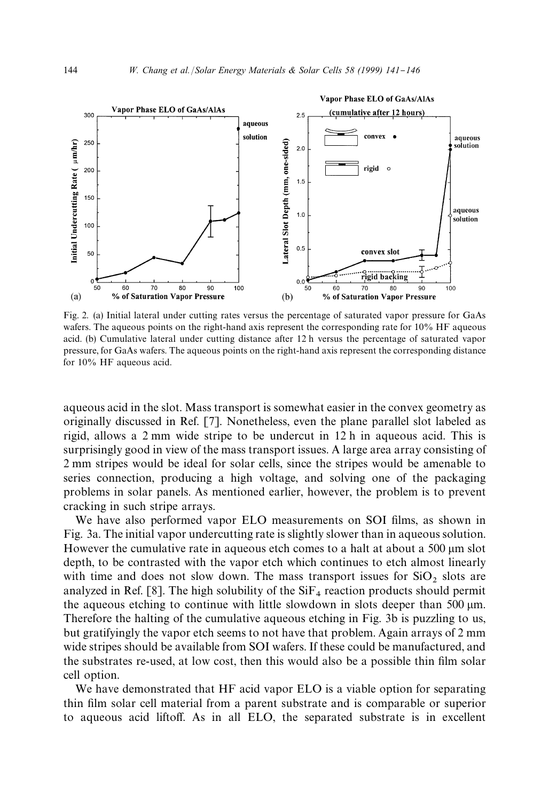

Fig. 2. (a) Initial lateral under cutting rates versus the percentage of saturated vapor pressure for GaAs wafers. The aqueous points on the right-hand axis represent the corresponding rate for 10% HF aqueous acid. (b) Cumulative lateral under cutting distance after 12 h versus the percentage of saturated vapor pressure, for GaAs wafers. The aqueous points on the right-hand axis represent the corresponding distance for 10% HF aqueous acid.

aqueous acid in the slot. Mass transport is somewhat easier in the convex geometry as originally discussed in Ref. [7]. Nonetheless, even the plane parallel slot labeled as rigid, allows a 2 mm wide stripe to be undercut in 12 h in aqueous acid. This is surprisingly good in view of the mass transport issues. A large area array consisting of 2 mm stripes would be ideal for solar cells, since the stripes would be amenable to series connection, producing a high voltage, and solving one of the packaging problems in solar panels. As mentioned earlier, however, the problem is to prevent cracking in such stripe arrays.

We have also performed vapor ELO measurements on SOI films, as shown in Fig. 3a. The initial vapor undercutting rate is slightly slower than in aqueous solution. However the cumulative rate in aqueous etch comes to a halt at about a 500 µm slot depth, to be contrasted with the vapor etch which continues to etch almost linearly with time and does not slow down. The mass transport issues for  $SiO<sub>2</sub>$  slots are analyzed in Ref. [8]. The high solubility of the  $SiF<sub>4</sub>$  reaction products should permit the aqueous etching to continue with little slowdown in slots deeper than 500  $\mu$ m. Therefore the halting of the cumulative aqueous etching in Fig. 3b is puzzling to us, but gratifyingly the vapor etch seems to not have that problem. Again arrays of 2 mm wide stripes should be available from SOI wafers. If these could be manufactured, and the substrates re-used, at low cost, then this would also be a possible thin film solar cell option.

We have demonstrated that HF acid vapor ELO is a viable option for separating thin film solar cell material from a parent substrate and is comparable or superior to aqueous acid liftoff. As in all ELO, the separated substrate is in excellent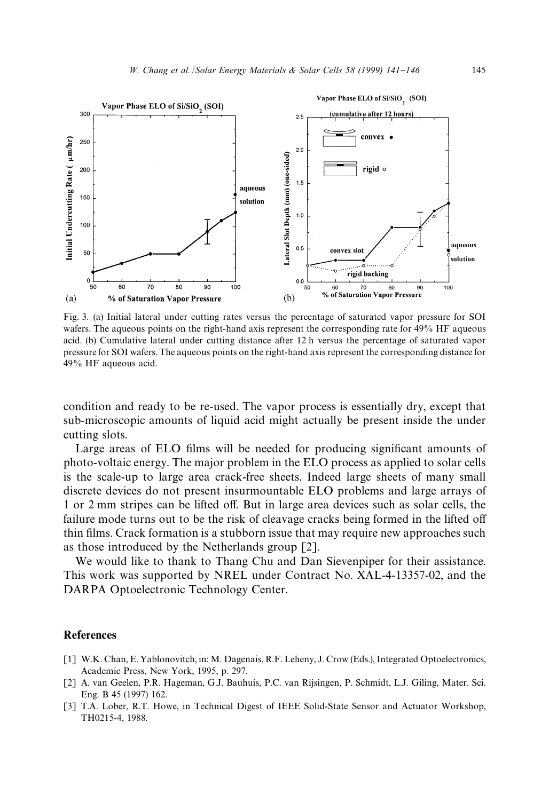

Fig. 3. (a) Initial lateral under cutting rates versus the percentage of saturated vapor pressure for SOI wafers. The aqueous points on the right-hand axis represent the corresponding rate for 49% HF aqueous acid. (b) Cumulative lateral under cutting distance after 12 h versus the percentage of saturated vapor pressure for SOI wafers. The aqueous points on the right-hand axis represent the corresponding distance for 49% HF aqueous acid.

condition and ready to be re-used. The vapor process is essentially dry, except that sub-microscopic amounts of liquid acid might actually be present inside the under cutting slots.

Large areas of ELO films will be needed for producing significant amounts of photo-voltaic energy. The major problem in the ELO process as applied to solar cells is the scale-up to large area crack-free sheets. Indeed large sheets of many small discrete devices do not present insurmountable ELO problems and large arrays of 1 or 2 mm stripes can be lifted off. But in large area devices such as solar cells, the failure mode turns out to be the risk of cleavage cracks being formed in the lifted off thin films. Crack formation is a stubborn issue that may require new approaches such as those introduced by the Netherlands group [2].

We would like to thank to Thang Chu and Dan Sievenpiper for their assistance. This work was supported by NREL under Contract No. XAL-4-13357-02, and the DARPA Optoelectronic Technology Center.

## References

- [1] W.K. Chan, E. Yablonovitch, in: M. Dagenais, R.F. Leheny, J. Crow (Eds.), Integrated Optoelectronics, Academic Press, New York, 1995, p. 297.
- [2] A. van Geelen, P.R. Hageman, G.J. Bauhuis, P.C. van Rijsingen, P. Schmidt, L.J. Giling, Mater. Sci. Eng. B 45 (1997) 162.
- [3] T.A. Lober, R.T. Howe, in Technical Digest of IEEE Solid-State Sensor and Actuator Workshop, TH0215-4, 1988.